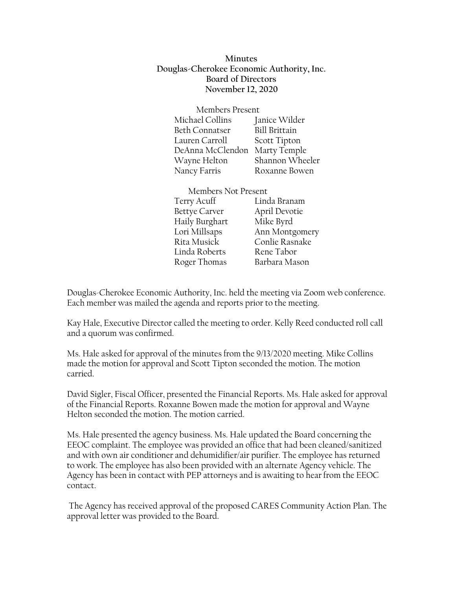**Minutes Douglas-Cherokee Economic Authority, Inc. Board of Directors November 12, 2020**

| Members Present  |                      |
|------------------|----------------------|
| Michael Collins  | Janice Wilder        |
| Beth Connatser   | <b>Bill Brittain</b> |
| Lauren Carroll   | Scott Tipton         |
| DeAnna McClendon | Marty Temple         |
| Wayne Helton     | Shannon Wheeler      |
| Nancy Farris     | Roxanne Bowen        |

Members Not Present Terry Acuff Linda Branam Bettye Carver April Devotie Haily Burghart Mike Byrd Lori Millsaps Ann Montgomery Rita Musick Conlie Rasnake Linda Roberts Rene Tabor Roger Thomas Barbara Mason

Douglas-Cherokee Economic Authority, Inc. held the meeting via Zoom web conference. Each member was mailed the agenda and reports prior to the meeting.

Kay Hale, Executive Director called the meeting to order. Kelly Reed conducted roll call and a quorum was confirmed.

Ms. Hale asked for approval of the minutes from the 9/13/2020 meeting. Mike Collins made the motion for approval and Scott Tipton seconded the motion. The motion carried.

David Sigler, Fiscal Officer, presented the Financial Reports. Ms. Hale asked for approval of the Financial Reports. Roxanne Bowen made the motion for approval and Wayne Helton seconded the motion. The motion carried.

Ms. Hale presented the agency business. Ms. Hale updated the Board concerning the EEOC complaint. The employee was provided an office that had been cleaned/sanitized and with own air conditioner and dehumidifier/air purifier. The employee has returned to work. The employee has also been provided with an alternate Agency vehicle. The Agency has been in contact with PEP attorneys and is awaiting to hear from the EEOC contact.

The Agency has received approval of the proposed CARES Community Action Plan. The approval letter was provided to the Board.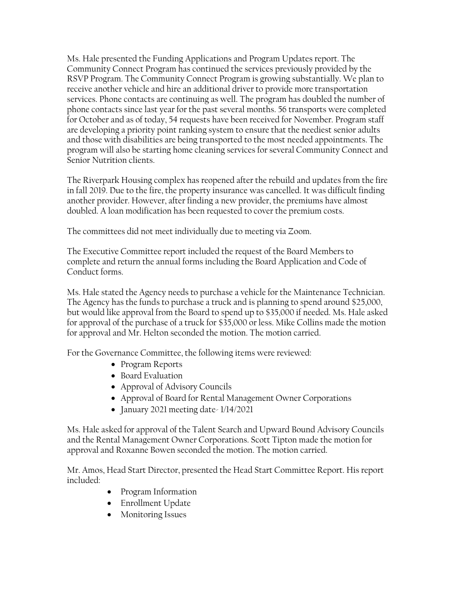Ms. Hale presented the Funding Applications and Program Updates report. The Community Connect Program has continued the services previously provided by the RSVP Program. The Community Connect Program is growing substantially. We plan to receive another vehicle and hire an additional driver to provide more transportation services. Phone contacts are continuing as well. The program has doubled the number of phone contacts since last year for the past several months. 56 transports were completed for October and as of today, 54 requests have been received for November. Program staff are developing a priority point ranking system to ensure that the neediest senior adults and those with disabilities are being transported to the most needed appointments. The program will also be starting home cleaning services for several Community Connect and Senior Nutrition clients.

The Riverpark Housing complex has reopened after the rebuild and updates from the fire in fall 2019. Due to the fire, the property insurance was cancelled. It was difficult finding another provider. However, after finding a new provider, the premiums have almost doubled. A loan modification has been requested to cover the premium costs.

The committees did not meet individually due to meeting via Zoom.

The Executive Committee report included the request of the Board Members to complete and return the annual forms including the Board Application and Code of Conduct forms.

Ms. Hale stated the Agency needs to purchase a vehicle for the Maintenance Technician. The Agency has the funds to purchase a truck and is planning to spend around \$25,000, but would like approval from the Board to spend up to \$35,000 if needed. Ms. Hale asked for approval of the purchase of a truck for \$35,000 or less. Mike Collins made the motion for approval and Mr. Helton seconded the motion. The motion carried.

For the Governance Committee, the following items were reviewed:

- Program Reports
- Board Evaluation
- Approval of Advisory Councils
- Approval of Board for Rental Management Owner Corporations
- January 2021 meeting date- 1/14/2021

Ms. Hale asked for approval of the Talent Search and Upward Bound Advisory Councils and the Rental Management Owner Corporations. Scott Tipton made the motion for approval and Roxanne Bowen seconded the motion. The motion carried.

Mr. Amos, Head Start Director, presented the Head Start Committee Report. His report included:

- Program Information
- Enrollment Update
- Monitoring Issues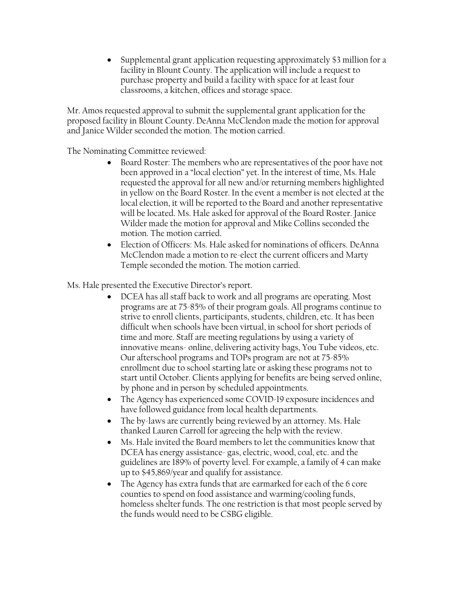• Supplemental grant application requesting approximately \$3 million for a facility in Blount County. The application will include a request to purchase property and build a facility with space for at least four classrooms, a kitchen, offices and storage space.

Mr. Amos requested approval to submit the supplemental grant application for the proposed facility in Blount County. DeAnna McClendon made the motion for approval and Janice Wilder seconded the motion. The motion carried.

The Nominating Committee reviewed:

- Board Roster: The members who are representatives of the poor have not been approved in a "local election" yet. In the interest of time, Ms. Hale requested the approval for all new and/or returning members highlighted in yellow on the Board Roster. In the event a member is not elected at the local election, it will be reported to the Board and another representative will be located. Ms. Hale asked for approval of the Board Roster. Janice Wilder made the motion for approval and Mike Collins seconded the motion. The motion carried.
- Election of Officers: Ms. Hale asked for nominations of officers. DeAnna McClendon made a motion to re-elect the current officers and Marty Temple seconded the motion. The motion carried.

Ms. Hale presented the Executive Director's report.

- DCEA has all staff back to work and all programs are operating. Most programs are at 75-85% of their program goals. All programs continue to strive to enroll clients, participants, students, children, etc. It has been difficult when schools have been virtual, in school for short periods of time and more. Staff are meeting regulations by using a variety of innovative means- online, delivering activity bags, You Tube videos, etc. Our afterschool programs and TOPs program are not at 75-85% enrollment due to school starting late or asking these programs not to start until October. Clients applying for benefits are being served online, by phone and in person by scheduled appointments.
- The Agency has experienced some COVID-19 exposure incidences and have followed guidance from local health departments.
- The by-laws are currently being reviewed by an attorney. Ms. Hale thanked Lauren Carroll for agreeing the help with the review.
- Ms. Hale invited the Board members to let the communities know that DCEA has energy assistance- gas, electric, wood, coal, etc. and the guidelines are 189% of poverty level. For example, a family of 4 can make up to \$45,869/year and qualify for assistance.
- The Agency has extra funds that are earmarked for each of the 6 core counties to spend on food assistance and warming/cooling funds, homeless shelter funds. The one restriction is that most people served by the funds would need to be CSBG eligible.